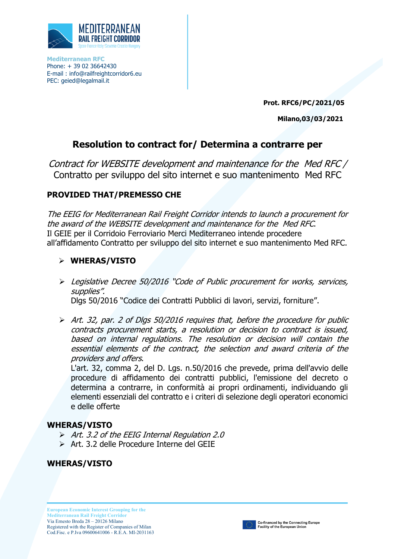

**Mediterranean RFC** Phone: + 39 02 36642430 E-mail : [info@railfreightcorridor6.eu](mailto:info@railfreightcorridor6.eu) PEC: geied@legalmail.it

**Prot. RFC6/PC/2021/05**

**Milano,03/03/2021**

## **Resolution to contract for/ Determina a contrarre per**

Contract for WEBSITE development and maintenance for the Med RFC / Contratto per sviluppo del sito internet e suo mantenimento Med RFC

## **PROVIDED THAT/PREMESSO CHE**

The EEIG for Mediterranean Rail Freight Corridor intends to launch a procurement for the award of the WEBSITE development and maintenance for the Med RFC. Il GEIE per il Corridoio Ferroviario Merci Mediterraneo intende procedere all'affidamento Contratto per sviluppo del sito internet e suo mantenimento Med RFC.

## **WHERAS/VISTO**

 Legislative Decree 50/2016 "Code of Public procurement for works, services, supplies". Dlgs 50/2016 "Codice dei Contratti Pubblici di lavori, servizi, forniture".

 Art. 32, par. 2 of Dlgs 50/2016 requires that, before the procedure for public contracts procurement starts, a resolution or decision to contract is issued, based on internal regulations. The resolution or decision will contain the essential elements of the contract, the selection and award criteria of the providers and offers.

L'art. 32, comma 2, del D. Lgs. n.50/2016 che prevede, prima dell'avvio delle procedure di affidamento dei contratti pubblici, l'emissione del decreto o determina a contrarre, in conformità ai propri ordinamenti, individuando gli elementi essenziali del contratto e i criteri di selezione degli operatori economici e delle offerte

## **WHERAS/VISTO**

- $\triangleright$  Art. 3.2 of the EEIG Internal Regulation 2.0
- $\triangleright$  Art. 3.2 delle Procedure Interne del GFIF

**WHERAS/VISTO**